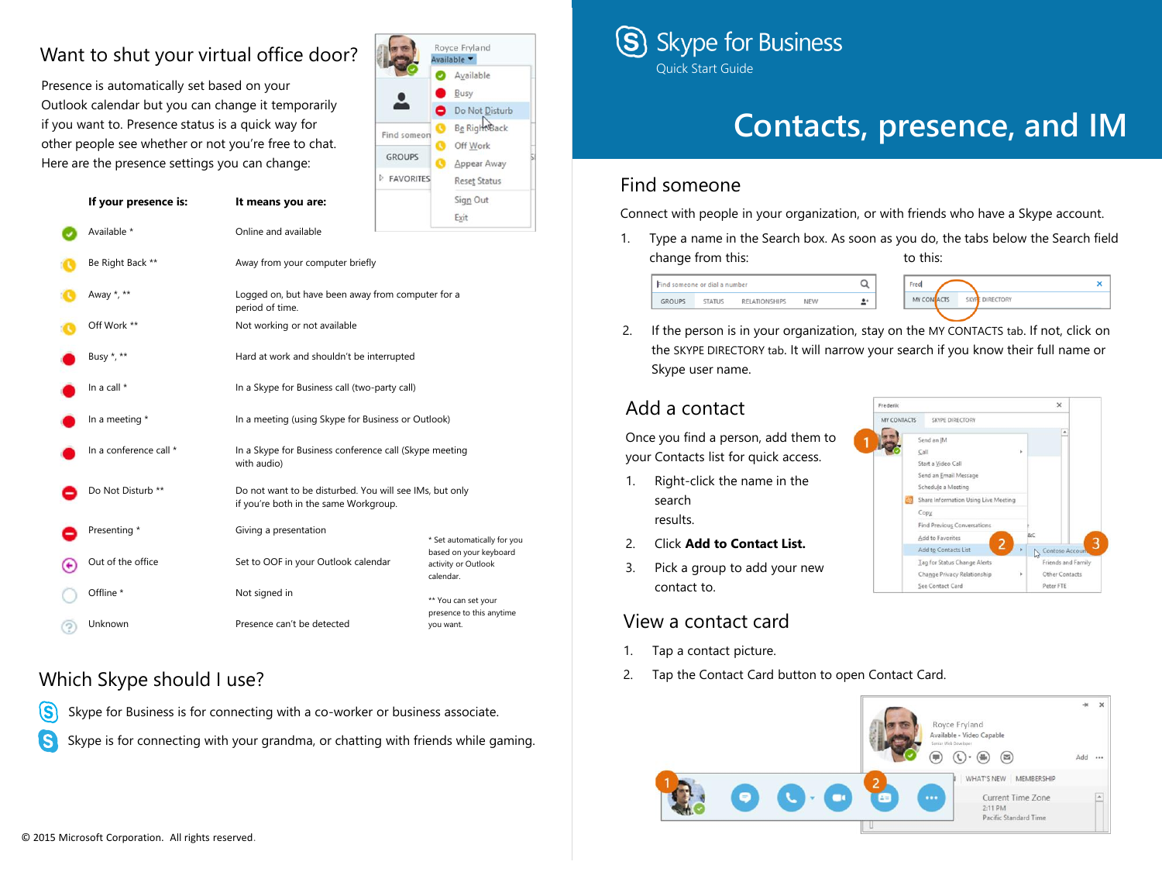# Want to shut your virtual office door?

Presence is automatically set based on your Outlook calendar but you can change it temporarily if you want to. Presence status is a quick way for other people see whether or not you're free to chat. Here are the presence settings you can change:

**If your presence is: It means you are:**

|                    | Available           |  |
|--------------------|---------------------|--|
|                    | Busy                |  |
|                    | Do Not Disturb      |  |
| τ<br>Find someon   | Be Right Back       |  |
|                    | Off Work            |  |
| <b>GROUPS</b><br>O | Appear Away         |  |
| <b>FAVORITES</b>   | <b>Reset Status</b> |  |
|                    | Sign Out            |  |
|                    | Exit                |  |

| Available *            | Online and available                                                                             |                                                            |  |
|------------------------|--------------------------------------------------------------------------------------------------|------------------------------------------------------------|--|
| Be Right Back **       | Away from your computer briefly                                                                  |                                                            |  |
| Away *, **             | Logged on, but have been away from computer for a<br>period of time.                             |                                                            |  |
| Off Work **            | Not working or not available                                                                     |                                                            |  |
| Busy *, **             | Hard at work and shouldn't be interrupted                                                        |                                                            |  |
| In a call *            | In a Skype for Business call (two-party call)                                                    |                                                            |  |
| In a meeting *         | In a meeting (using Skype for Business or Outlook)                                               |                                                            |  |
| In a conference call * | In a Skype for Business conference call (Skype meeting<br>with audio)                            |                                                            |  |
| Do Not Disturb **      | Do not want to be disturbed. You will see IMs, but only<br>if you're both in the same Workgroup. |                                                            |  |
| Presenting *           | Giving a presentation                                                                            | * Set automatically for you                                |  |
| Out of the office      | Set to OOF in your Outlook calendar                                                              | based on your keyboard<br>activity or Outlook<br>calendar. |  |
| Offline *              | Not signed in                                                                                    | ** You can set your<br>presence to this anytime            |  |
| Unknown                | Presence can't be detected                                                                       | you want.                                                  |  |

## Which Skype should I use?



Skype is for connecting with your grandma, or chatting with friends while gaming. .S



# **Contacts, presence, and IM**

 $\mathbf{x}$ 

 $\times$ 

Contoso

Friends and Family

Other Contacts

Peter FTE

### Find someone

Connect with people in your organization, or with friends who have a Skype account.

1. Type a name in the Search box. As soon as you do, the tabs below the Search field change from this: to this:



2. If the person is in your organization, stay on the MY CONTACTS tab. If not, click on the SKYPE DIRECTORY tab. It will narrow your search if you know their full name or Skype user name.

Frederik

MY CONTACTS

Copy Find Previous Conversations Add to Favorite Add to Contacts List

SKYPE DIRECTORY Send an IN Call Start a Video Call Send an Email Message Schedule a Meeting Share Information Using Live Meeting

Tag for Status Change Alerts

Change Privacy Relationship

See Contact Card

## Add a contact

Once you find a person, add them to your Contacts list for quick access.

- 1. Right-click the name in the search results.
- 2. Click **Add to Contact List.**
- 3. Pick a group to add your new contact to.

## View a contact card

- 1. Tap a contact picture.
- 2. Tap the Contact Card button to open Contact Card.